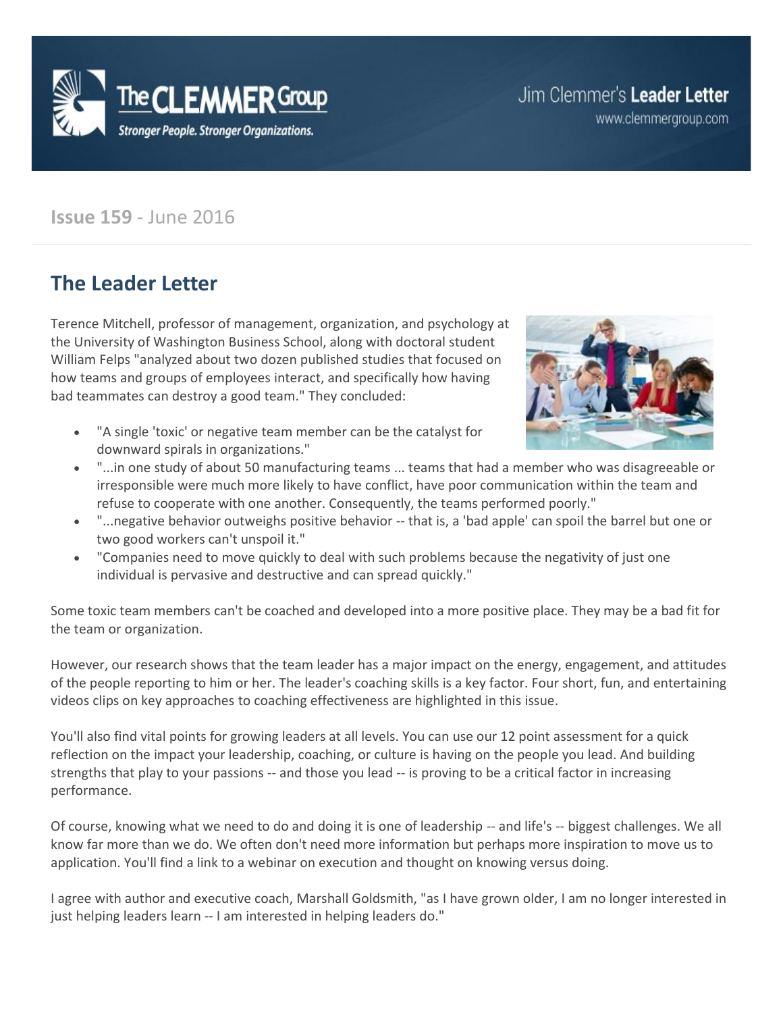

# Jim Clemmer's Leader Letter

www.clemmergroup.com

### **Issue 159** - June 2016

### **The Leader Letter**

Terence Mitchell, professor of management, organization, and psychology at the University of Washington Business School, along with doctoral student William Felps "analyzed about two dozen published studies that focused on how teams and groups of employees interact, and specifically how having bad teammates can destroy a good team." They concluded:



- "A single 'toxic' or negative team member can be the catalyst for downward spirals in organizations."
- "...in one study of about 50 manufacturing teams ... teams that had a member who was disagreeable or irresponsible were much more likely to have conflict, have poor communication within the team and refuse to cooperate with one another. Consequently, the teams performed poorly."
- "...negative behavior outweighs positive behavior -- that is, a 'bad apple' can spoil the barrel but one or two good workers can't unspoil it."
- "Companies need to move quickly to deal with such problems because the negativity of just one individual is pervasive and destructive and can spread quickly."

Some toxic team members can't be coached and developed into a more positive place. They may be a bad fit for the team or organization.

However, our research shows that the team leader has a major impact on the energy, engagement, and attitudes of the people reporting to him or her. The leader's coaching skills is a key factor. Four short, fun, and entertaining videos clips on key approaches to coaching effectiveness are highlighted in this issue.

You'll also find vital points for growing leaders at all levels. You can use our 12 point assessment for a quick reflection on the impact your leadership, coaching, or culture is having on the people you lead. And building strengths that play to your passions -- and those you lead -- is proving to be a critical factor in increasing performance.

Of course, knowing what we need to do and doing it is one of leadership -- and life's -- biggest challenges. We all know far more than we do. We often don't need more information but perhaps more inspiration to move us to application. You'll find a link to a webinar on execution and thought on knowing versus doing.

I agree with author and executive coach, Marshall Goldsmith, "as I have grown older, I am no longer interested in just helping leaders learn -- I am interested in helping leaders do."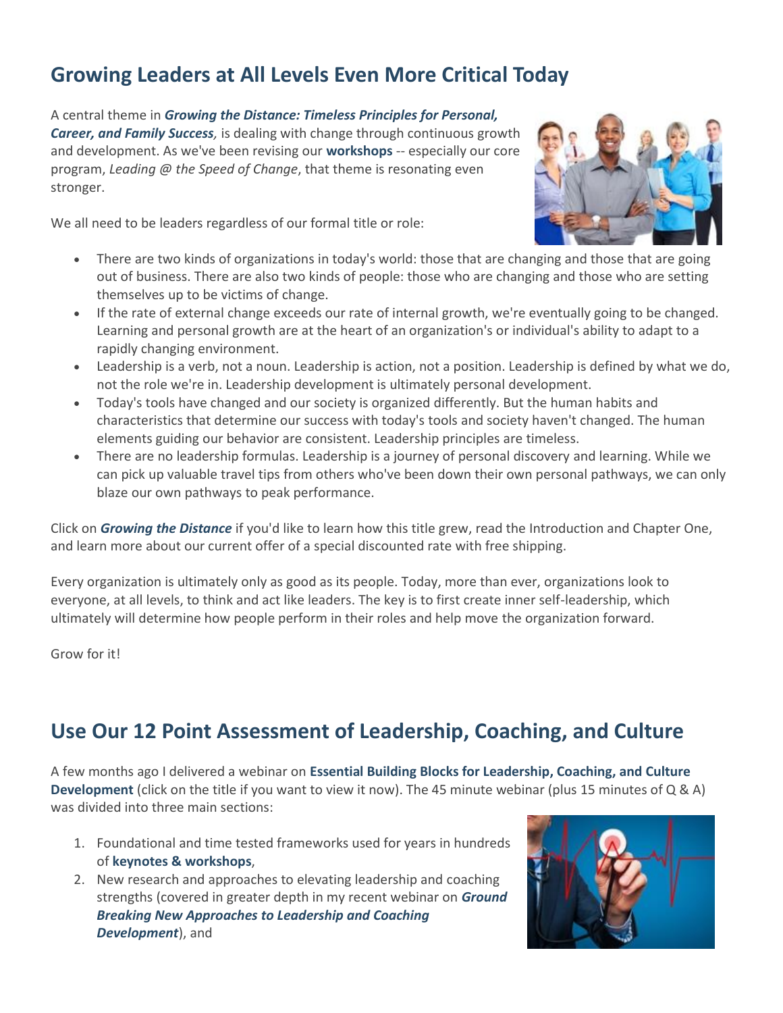# **Growing Leaders at All Levels Even More Critical Today**

A central theme in *[Growing the Distance: Timeless Principles for Personal,](http://www.clemmergroup.com/services/leadership-books/growing-distance/?aid=gtd2&anum=1)  [Career, and Family Success](http://www.clemmergroup.com/services/leadership-books/growing-distance/?aid=gtd2&anum=1),* is dealing with change through continuous growth and development. As we've been revising our **[workshops](http://www.clemmergroup.com/services/custom-keynotes-workshops/)** -- especially our core program, *Leading @ the Speed of Change*, that theme is resonating even stronger.

We all need to be leaders regardless of our formal title or role:



- There are two kinds of organizations in today's world: those that are changing and those that are going out of business. There are also two kinds of people: those who are changing and those who are setting themselves up to be victims of change.
- If the rate of external change exceeds our rate of internal growth, we're eventually going to be changed. Learning and personal growth are at the heart of an organization's or individual's ability to adapt to a rapidly changing environment.
- Leadership is a verb, not a noun. Leadership is action, not a position. Leadership is defined by what we do, not the role we're in. Leadership development is ultimately personal development.
- Today's tools have changed and our society is organized differently. But the human habits and characteristics that determine our success with today's tools and society haven't changed. The human elements guiding our behavior are consistent. Leadership principles are timeless.
- There are no leadership formulas. Leadership is a journey of personal discovery and learning. While we can pick up valuable travel tips from others who've been down their own personal pathways, we can only blaze our own pathways to peak performance.

Click on *[Growing the Distance](http://www.clemmergroup.com/services/leadership-books/growing-distance/?aid=gtd2&anum=1)* if you'd like to learn how this title grew, read the Introduction and Chapter One, and learn more about our current offer of a special discounted rate with free shipping.

Every organization is ultimately only as good as its people. Today, more than ever, organizations look to everyone, at all levels, to think and act like leaders. The key is to first create inner self-leadership, which ultimately will determine how people perform in their roles and help move the organization forward.

Grow for it!

## **Use Our 12 Point Assessment of Leadership, Coaching, and Culture**

A few months ago I delivered a webinar on **[Essential Building Blocks for Leadership, Coaching, and Culture](http://www.clemmergroup.com/webinars/key-elements-of-leadership-coaching-and-culture-development/)  [Development](http://www.clemmergroup.com/webinars/key-elements-of-leadership-coaching-and-culture-development/)** (click on the title if you want to view it now). The 45 minute webinar (plus 15 minutes of Q & A) was divided into three main sections:

- 1. Foundational and time tested frameworks used for years in hundreds of **[keynotes & workshops](http://www.clemmergroup.com/services/custom-keynotes-workshops/)**,
- 2. New research and approaches to elevating leadership and coaching strengths (covered in greater depth in my recent webinar on *[Ground](http://www.clemmergroup.com/events/coaching-skills-strengthening-leadership/)  [Breaking New Approaches to Leadership and Coaching](http://www.clemmergroup.com/events/coaching-skills-strengthening-leadership/)  [Development](http://www.clemmergroup.com/events/coaching-skills-strengthening-leadership/)*), and

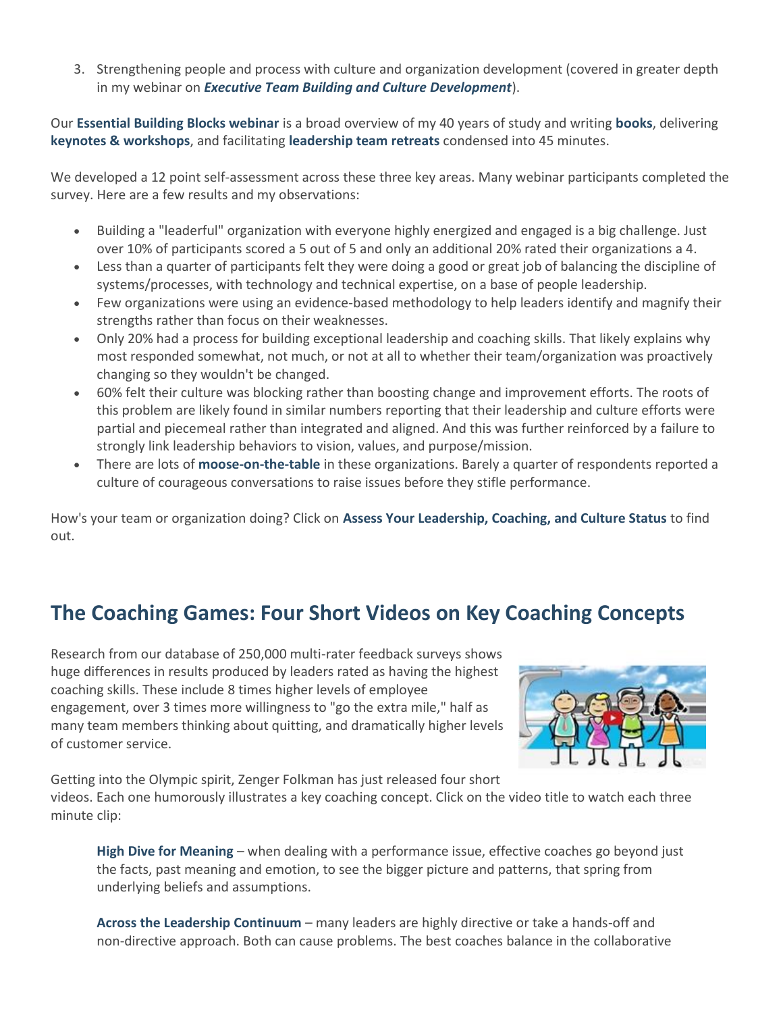3. Strengthening people and process with culture and organization development (covered in greater depth in my webinar on *[Executive Team Building and Culture Development](http://www.clemmergroup.com/webinars/executive-team-building-culture-development)*).

Our **[Essential Building Blocks webinar](http://www.clemmergroup.com/webinars/key-elements-of-leadership-coaching-and-culture-development/)** is a broad overview of my 40 years of study and writing **[books](http://www.clemmer.net/books)**, delivering **[keynotes & workshops](http://www.clemmergroup.com/services/custom-keynotes-workshops/)**, and facilitating **[leadership team retreats](http://www.clemmergroup.com/services/leadership-team-retreats/)** condensed into 45 minutes.

We developed a 12 point self-assessment across these three key areas. Many webinar participants completed the survey. Here are a few results and my observations:

- Building a "leaderful" organization with everyone highly energized and engaged is a big challenge. Just over 10% of participants scored a 5 out of 5 and only an additional 20% rated their organizations a 4.
- Less than a quarter of participants felt they were doing a good or great job of balancing the discipline of systems/processes, with technology and technical expertise, on a base of people leadership.
- Few organizations were using an evidence-based methodology to help leaders identify and magnify their strengths rather than focus on their weaknesses.
- Only 20% had a process for building exceptional leadership and coaching skills. That likely explains why most responded somewhat, not much, or not at all to whether their team/organization was proactively changing so they wouldn't be changed.
- 60% felt their culture was blocking rather than boosting change and improvement efforts. The roots of this problem are likely found in similar numbers reporting that their leadership and culture efforts were partial and piecemeal rather than integrated and aligned. And this was further reinforced by a failure to strongly link leadership behaviors to vision, values, and purpose/mission.
- There are lots of **[moose-on-the-table](http://www.clemmergroup.com/articles/authentic-communication-dealing-moose-table/)** in these organizations. Barely a quarter of respondents reported a culture of courageous conversations to raise issues before they stifle performance.

How's your team or organization doing? Click on **Assess [Your Leadership, Coaching, and Culture Status](http://www.clemmergroup.com/online-quizzes/assess-leadership-coaching-culture/)** to find out.

# **The Coaching Games: Four Short Videos on Key Coaching Concepts**

Research from our database of 250,000 multi-rater feedback surveys shows huge differences in results produced by leaders rated as having the highest coaching skills. These include 8 times higher levels of employee engagement, over 3 times more willingness to "go the extra mile," half as many team members thinking about quitting, and dramatically higher levels of customer service.



Getting into the Olympic spirit, Zenger Folkman has just released four short videos. Each one humorously illustrates a key coaching concept. Click on the video title to watch each three minute clip:

**[High Dive for Meaning](http://zengerfolkman.com/video-diving-for-meaning/)** – when dealing with a performance issue, effective coaches go beyond just the facts, past meaning and emotion, to see the bigger picture and patterns, that spring from underlying beliefs and assumptions.

**[Across the Leadership Continuum](http://zengerfolkman.com/video-balancing-across-the-continuum/)** – many leaders are highly directive or take a hands-off and non-directive approach. Both can cause problems. The best coaches balance in the collaborative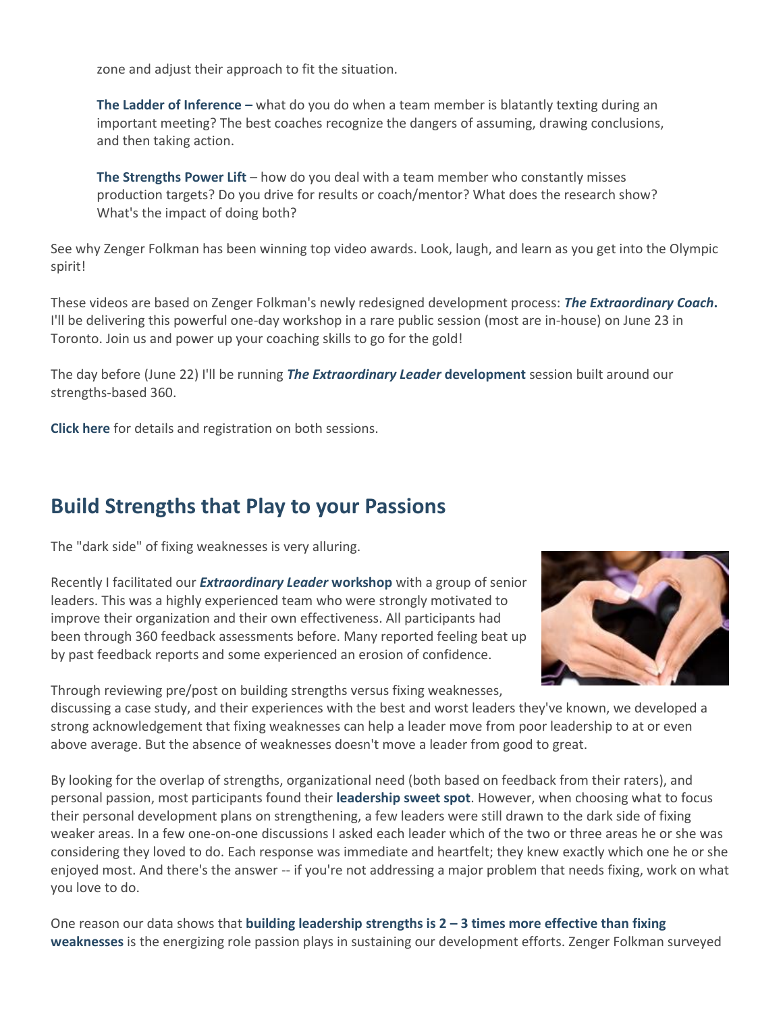zone and adjust their approach to fit the situation.

**[The Ladder of Inference](http://zengerfolkman.com/video-ladder-of-inference/) –** what do you do when a team member is blatantly texting during an important meeting? The best coaches recognize the dangers of assuming, drawing conclusions, and then taking action.

**[The Strengths Power Lift](http://zengerfolkman.com/video-the-strengths-power-lift/)** – how do you deal with a team member who constantly misses production targets? Do you drive for results or coach/mentor? What does the research show? What's the impact of doing both?

See why Zenger Folkman has been winning top video awards. Look, laugh, and learn as you get into the Olympic spirit!

These videos are based on Zenger Folkman's newly redesigned development process: *[The Extraordinary Coach](http://www.clemmergroup.com/events/extraordinary-coach-workshop/)***.** I'll be delivering this powerful one-day workshop in a rare public session (most are in-house) on June 23 in Toronto. Join us and power up your coaching skills to go for the gold!

The day before (June 22) I'll be running *[The Extraordinary Leader](http://www.clemmergroup.com/events/extraordinary-leader-workshop/)* **development** session built around our strengths-based 360.

**[Click here](http://www.clemmergroup.com/events/leadership-coaching-workshops/)** for details and registration on both sessions.

## **Build Strengths that Play to your Passions**

The "dark side" of fixing weaknesses is very alluring.

Recently I facilitated our *[Extraordinary Leader](http://www.clemmergroup.com/events/extraordinary-leader-workshop/)* **workshop** with a group of senior leaders. This was a highly experienced team who were strongly motivated to improve their organization and their own effectiveness. All participants had been through 360 feedback assessments before. Many reported feeling beat up by past feedback reports and some experienced an erosion of confidence.

Through reviewing pre/post on building strengths versus fixing weaknesses,



discussing a case study, and their experiences with the best and worst leaders they've known, we developed a strong acknowledgement that fixing weaknesses can help a leader move from poor leadership to at or even above average. But the absence of weaknesses doesn't move a leader from good to great.

By looking for the overlap of strengths, organizational need (both based on feedback from their raters), and personal passion, most participants found their **[leadership sweet spot](http://www.clemmergroup.com/blog/2013/04/11/leadership-sweet-spot-strengths-passion-and-organizational-needs/)**. However, when choosing what to focus their personal development plans on strengthening, a few leaders were still drawn to the dark side of fixing weaker areas. In a few one-on-one discussions I asked each leader which of the two or three areas he or she was considering they loved to do. Each response was immediate and heartfelt; they knew exactly which one he or she enjoyed most. And there's the answer -- if you're not addressing a major problem that needs fixing, work on what you love to do.

One reason our data shows that **building leadership strengths is 2 – [3 times more effective than fixing](http://www.clemmergroup.com/blog/2013/09/24/building-leadership-strengths-2-3-times-more-effective-than-fixing-weaknesses/)  [weaknesses](http://www.clemmergroup.com/blog/2013/09/24/building-leadership-strengths-2-3-times-more-effective-than-fixing-weaknesses/)** is the energizing role passion plays in sustaining our development efforts. Zenger Folkman surveyed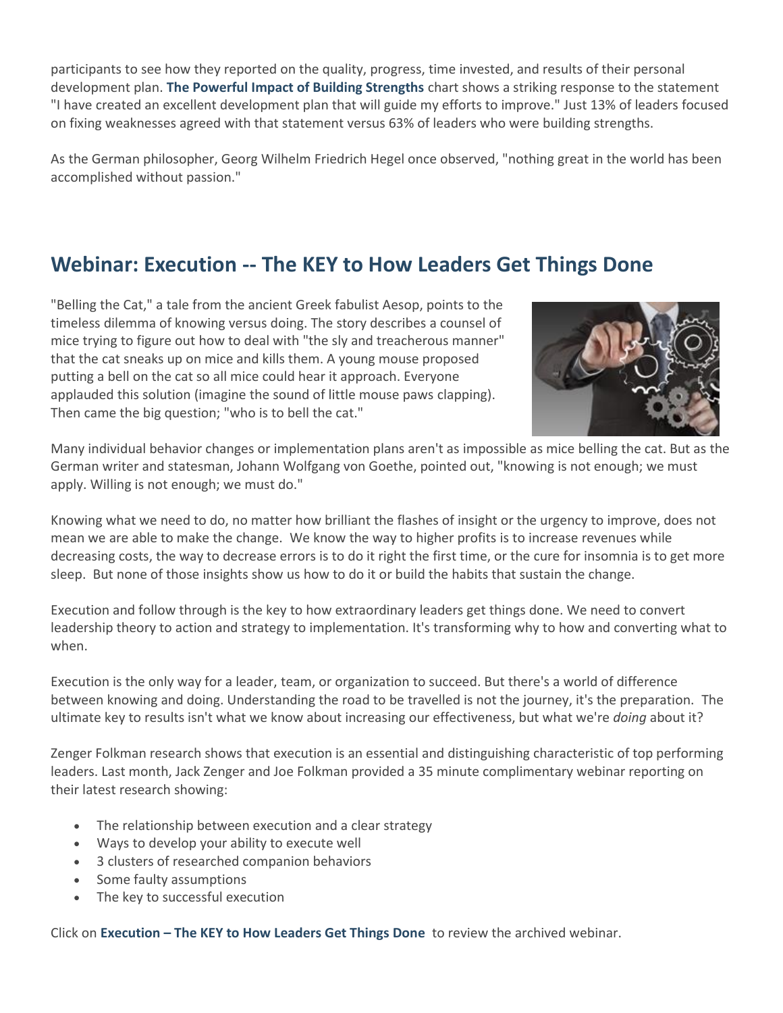participants to see how they reported on the quality, progress, time invested, and results of their personal development plan. **[The Powerful Impact of Building Strengths](http://www.clemmergroup.com/blog/2015/01/06/double-resolution-success-building-strengths/)** chart shows a striking response to the statement "I have created an excellent development plan that will guide my efforts to improve." Just 13% of leaders focused on fixing weaknesses agreed with that statement versus 63% of leaders who were building strengths.

As the German philosopher, Georg Wilhelm Friedrich Hegel once observed, "nothing great in the world has been accomplished without passion."

## **Webinar: Execution -- The KEY to How Leaders Get Things Done**

"Belling the Cat," a tale from the ancient Greek fabulist Aesop, points to the timeless dilemma of knowing versus doing. The story describes a counsel of mice trying to figure out how to deal with "the sly and treacherous manner" that the cat sneaks up on mice and kills them. A young mouse proposed putting a bell on the cat so all mice could hear it approach. Everyone applauded this solution (imagine the sound of little mouse paws clapping). Then came the big question; "who is to bell the cat."



Many individual behavior changes or implementation plans aren't as impossible as mice belling the cat. But as the German writer and statesman, Johann Wolfgang von Goethe, pointed out, "knowing is not enough; we must apply. Willing is not enough; we must do."

Knowing what we need to do, no matter how brilliant the flashes of insight or the urgency to improve, does not mean we are able to make the change. We know the way to higher profits is to increase revenues while decreasing costs, the way to decrease errors is to do it right the first time, or the cure for insomnia is to get more sleep. But none of those insights show us how to do it or build the habits that sustain the change.

Execution and follow through is the key to how extraordinary leaders get things done. We need to convert leadership theory to action and strategy to implementation. It's transforming why to how and converting what to when.

Execution is the only way for a leader, team, or organization to succeed. But there's a world of difference between knowing and doing. Understanding the road to be travelled is not the journey, it's the preparation. The ultimate key to results isn't what we know about increasing our effectiveness, but what we're *doing* about it?

Zenger Folkman research shows that execution is an essential and distinguishing characteristic of top performing leaders. Last month, Jack Zenger and Joe Folkman provided a 35 minute complimentary webinar reporting on their latest research showing:

- The relationship between execution and a clear strategy
- Ways to develop your ability to execute well
- 3 clusters of researched companion behaviors
- Some faulty assumptions
- The key to successful execution

Click on **Execution – [The KEY to How Leaders Get Things Done](http://www.clemmergroup.com/webinars/execution-key-leaders-get-things-done/)** to review the archived webinar.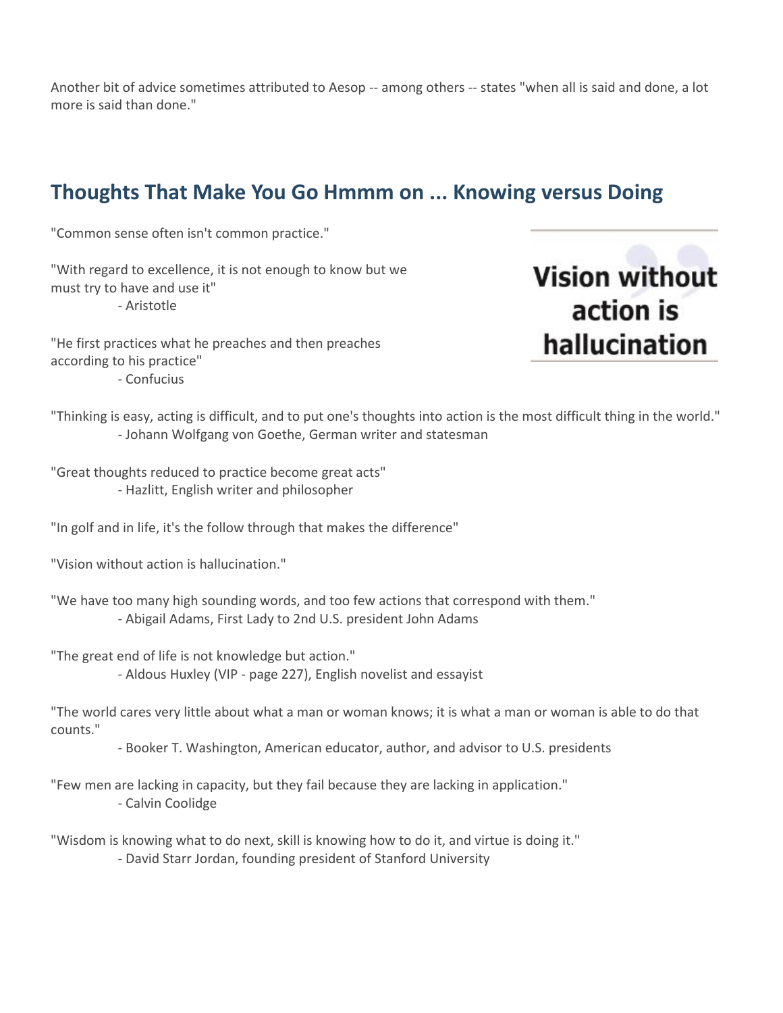Another bit of advice sometimes attributed to Aesop -- among others -- states "when all is said and done, a lot more is said than done."

## **Thoughts That Make You Go Hmmm on ... Knowing versus Doing**

"Common sense often isn't common practice."

"With regard to excellence, it is not enough to know but we must try to have and use it" - Aristotle

"He first practices what he preaches and then preaches according to his practice"

- Confucius

**Vision without** action is hallucination

"Thinking is easy, acting is difficult, and to put one's thoughts into action is the most difficult thing in the world." - Johann Wolfgang von Goethe, German writer and statesman

"Great thoughts reduced to practice become great acts" - Hazlitt, English writer and philosopher

"In golf and in life, it's the follow through that makes the difference"

"Vision without action is hallucination."

"We have too many high sounding words, and too few actions that correspond with them." - Abigail Adams, First Lady to 2nd U.S. president John Adams

"The great end of life is not knowledge but action."

- Aldous Huxley (VIP - page 227), English novelist and essayist

"The world cares very little about what a man or woman knows; it is what a man or woman is able to do that counts."

- Booker T. Washington, American educator, author, and advisor to U.S. presidents

"Few men are lacking in capacity, but they fail because they are lacking in application." - Calvin Coolidge

"Wisdom is knowing what to do next, skill is knowing how to do it, and virtue is doing it." - David Starr Jordan, founding president of Stanford University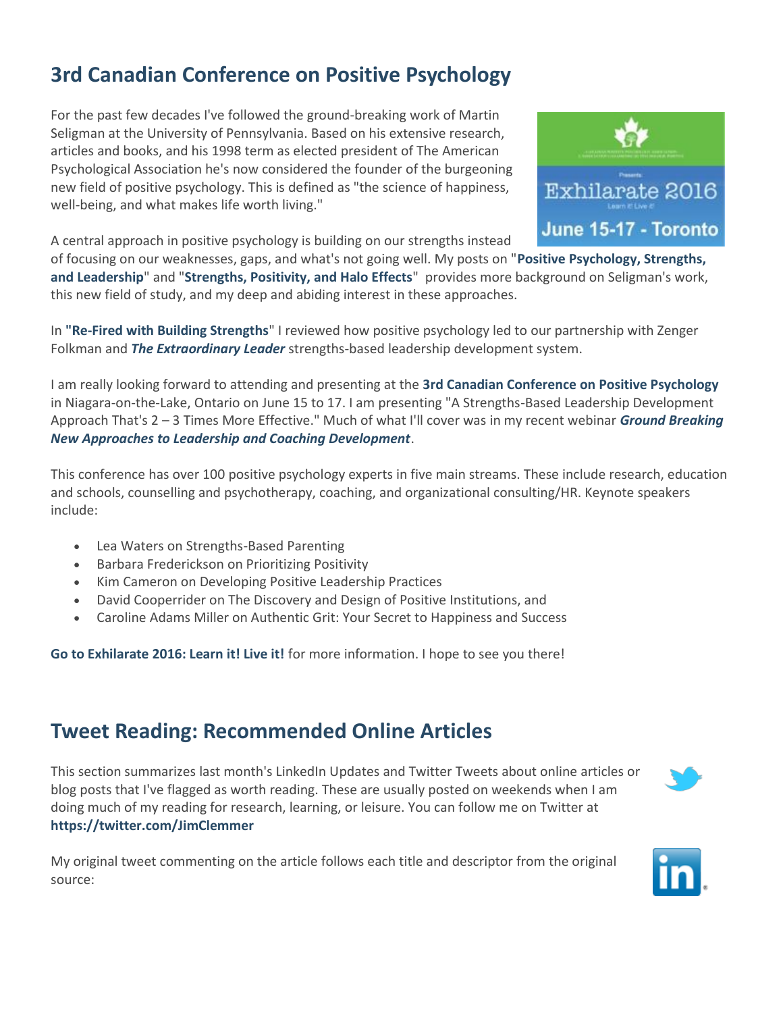# **3rd Canadian Conference on Positive Psychology**

For the past few decades I've followed the ground-breaking work of Martin Seligman at the University of Pennsylvania. Based on his extensive research, articles and books, and his 1998 term as elected president of The American Psychological Association he's now considered the founder of the burgeoning new field of positive psychology. This is defined as "the science of happiness, well-being, and what makes life worth living."

Exhilarate 2016 June 15-17 - Toronto

A central approach in positive psychology is building on our strengths instead

of focusing on our weaknesses, gaps, and what's not going well. My posts on "**[Positive Psychology, Strengths,](http://www.clemmergroup.com/blog/2012/11/06/positive-psychology-strengths-and-leadership/)  [and Leadership](http://www.clemmergroup.com/blog/2012/11/06/positive-psychology-strengths-and-leadership/)**" and "**[Strengths, Positivity, and Halo Effects](http://www.clemmergroup.com/blog/2014/12/02/strengths-positivity-halo-effects/)**" provides more background on Seligman's work, this new field of study, and my deep and abiding interest in these approaches.

In **["Re-Fired with Building Strengths](http://www.clemmergroup.com/blog/2015/03/31/re-fired-with-building-strengths/)**" I reviewed how positive psychology led to our partnership with Zenger Folkman and *[The Extraordinary Leader](http://www.clemmergroup.com/the-extraordinary-leader.php)* strengths-based leadership development system.

I am really looking forward to attending and presenting at the **[3rd Canadian Conference on Positive Psychology](https://www.eiseverywhere.com/ehome/exhilarate2016/294214/)** in Niagara-on-the-Lake, Ontario on June 15 to 17. I am presenting "A Strengths-Based Leadership Development Approach That's 2 – 3 Times More Effective." Much of what I'll cover was in my recent webinar *[Ground Breaking](http://www.clemmergroup.com/events/coaching-skills-strengthening-leadership/)  [New Approaches to Leadership and Coaching Development](http://www.clemmergroup.com/events/coaching-skills-strengthening-leadership/)*.

This conference has over 100 positive psychology experts in five main streams. These include research, education and schools, counselling and psychotherapy, coaching, and organizational consulting/HR. Keynote speakers include:

- Lea Waters on Strengths-Based Parenting
- Barbara Frederickson on Prioritizing Positivity
- Kim Cameron on Developing Positive Leadership Practices
- David Cooperrider on The Discovery and Design of Positive Institutions, and
- Caroline Adams Miller on Authentic Grit: Your Secret to Happiness and Success

**[Go to Exhilarate 2016: Learn it! Live it!](https://www.eiseverywhere.com/ehome/exhilarate2016/294214/)** for more information. I hope to see you there!

## **Tweet Reading: Recommended Online Articles**

This section summarizes last month's LinkedIn Updates and Twitter Tweets about online articles or blog posts that I've flagged as worth reading. These are usually posted on weekends when I am doing much of my reading for research, learning, or leisure. You can follow me on Twitter at **<https://twitter.com/JimClemmer>**



My original tweet commenting on the article follows each title and descriptor from the original source:

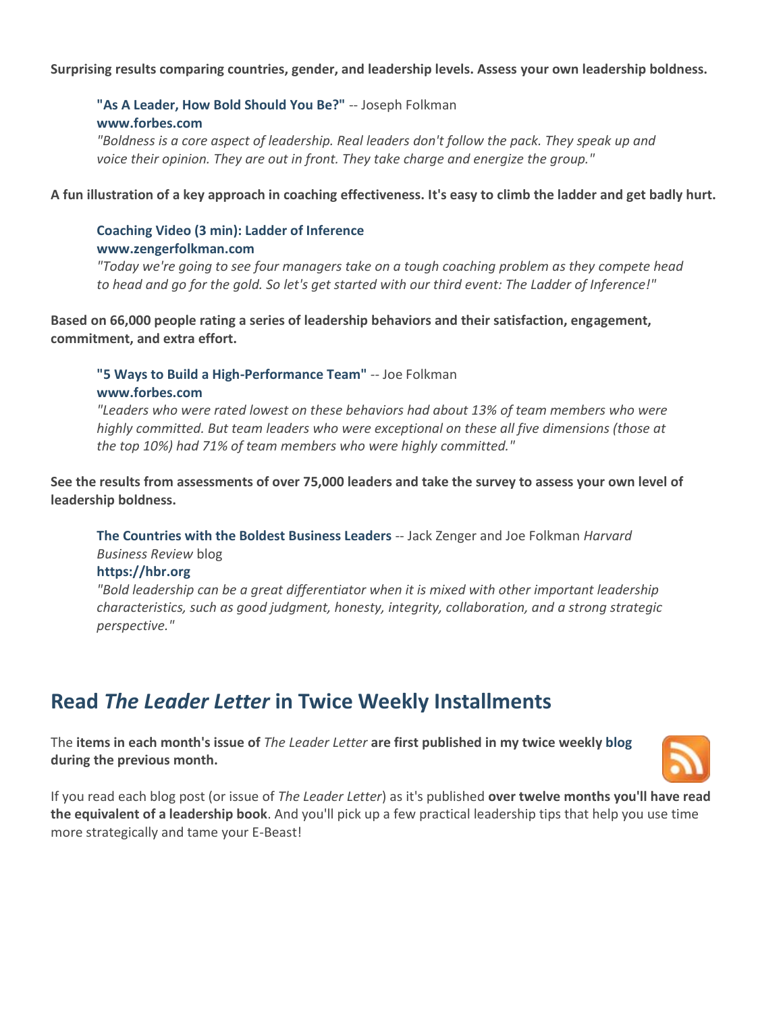#### **Surprising results comparing countries, gender, and leadership levels. Assess your own leadership boldness.**

### ["As A Leader, How Bold Should You Be?"](http://www.forbes.com/sites/joefolkman/2016/05/12/as-a-leader-how-bold-should-you-be/#402210466450) -- Joseph Folkman **[www.forbes.com](http://www.forbes.com/)**

*"Boldness is a core aspect of leadership. Real leaders don't follow the pack. They speak up and voice their opinion. They are out in front. They take charge and energize the group."* 

**A fun illustration of a key approach in coaching effectiveness. It's easy to climb the ladder and get badly hurt.** 

### **[Coaching Video \(3 min\): Ladder of Inference](http://zengerfolkman.com/video-ladder-of-inference/) [www.zengerfolkman.com](http://www.zengerfolkman.com/)**

*"Today we're going to see four managers take on a tough coaching problem as they compete head to head and go for the gold. So let's get started with our third event: The Ladder of Inference!"*

**Based on 66,000 people rating a series of leadership behaviors and their satisfaction, engagement, commitment, and extra effort.** 

#### **["5 Ways to Build a High-Performance Team"](http://www.forbes.com/sites/joefolkman/2016/04/13/are-you-on-the-team-from-hell-5-ways-to-create-a-high-performance-team/#5085249d56ab)** -- Joe Folkman **[www.forbes.com](http://www.forbes.com/)**

*"Leaders who were rated lowest on these behaviors had about 13% of team members who were highly committed. But team leaders who were exceptional on these all five dimensions (those at the top 10%) had 71% of team members who were highly committed."*

**See the results from assessments of over 75,000 leaders and take the survey to assess your own level of leadership boldness.**

**[The Countries with the Boldest Business Leaders](https://hbr.org/2016/04/the-countries-with-the-boldest-business-leaders)** -- Jack Zenger and Joe Folkman *Harvard Business Review* blog

#### **[https://hbr.org](https://hbr.org/)**

*"Bold leadership can be a great differentiator when it is mixed with other important leadership characteristics, such as good judgment, honesty, integrity, collaboration, and a strong strategic perspective."*

### **Read** *The Leader Letter* **in Twice Weekly Installments**

The **items in each month's issue of** *The Leader Letter* **are first published in my twice weekl[y blog](http://jimclemmer.com/blog) during the previous month.**



If you read each blog post (or issue of *The Leader Letter*) as it's published **over twelve months you'll have read the equivalent of a leadership book**. And you'll pick up a few practical leadership tips that help you use time more strategically and tame your E-Beast!